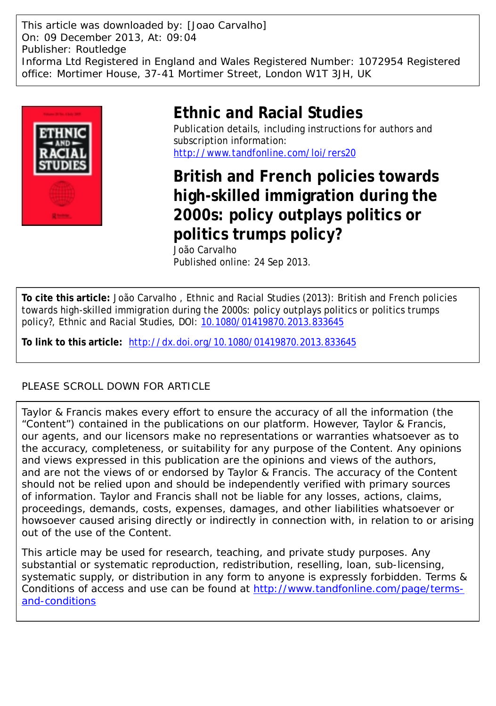This article was downloaded by: [Joao Carvalho] On: 09 December 2013, At: 09:04 Publisher: Routledge Informa Ltd Registered in England and Wales Registered Number: 1072954 Registered office: Mortimer House, 37-41 Mortimer Street, London W1T 3JH, UK



# **Ethnic and Racial Studies**

Publication details, including instructions for authors and subscription information: <http://www.tandfonline.com/loi/rers20>

**British and French policies towards high-skilled immigration during the 2000s: policy outplays politics or politics trumps policy?**

João Carvalho Published online: 24 Sep 2013.

**To cite this article:** João Carvalho , Ethnic and Racial Studies (2013): British and French policies towards high-skilled immigration during the 2000s: policy outplays politics or politics trumps policy?, Ethnic and Racial Studies, DOI: [10.1080/01419870.2013.833645](http://www.tandfonline.com/action/showCitFormats?doi=10.1080/01419870.2013.833645)

**To link to this article:** <http://dx.doi.org/10.1080/01419870.2013.833645>

# PLEASE SCROLL DOWN FOR ARTICLE

Taylor & Francis makes every effort to ensure the accuracy of all the information (the "Content") contained in the publications on our platform. However, Taylor & Francis, our agents, and our licensors make no representations or warranties whatsoever as to the accuracy, completeness, or suitability for any purpose of the Content. Any opinions and views expressed in this publication are the opinions and views of the authors, and are not the views of or endorsed by Taylor & Francis. The accuracy of the Content should not be relied upon and should be independently verified with primary sources of information. Taylor and Francis shall not be liable for any losses, actions, claims, proceedings, demands, costs, expenses, damages, and other liabilities whatsoever or howsoever caused arising directly or indirectly in connection with, in relation to or arising out of the use of the Content.

This article may be used for research, teaching, and private study purposes. Any substantial or systematic reproduction, redistribution, reselling, loan, sub-licensing, systematic supply, or distribution in any form to anyone is expressly forbidden. Terms & Conditions of access and use can be found at [http://www.tandfonline.com/page/terms](http://www.tandfonline.com/page/terms-and-conditions)[and-conditions](http://www.tandfonline.com/page/terms-and-conditions)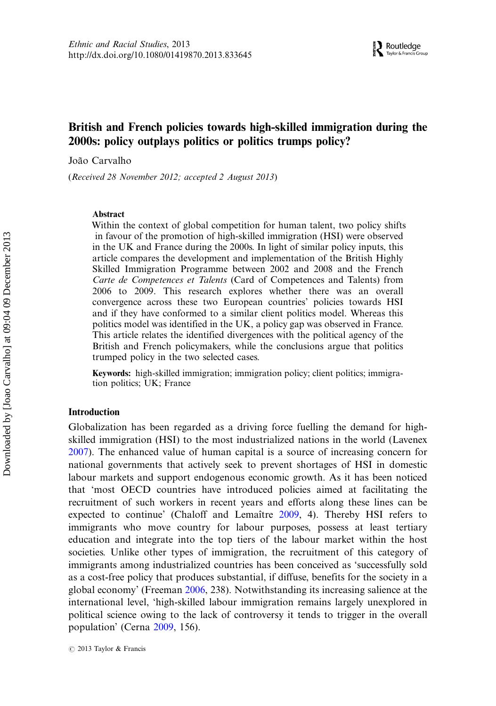# British and French policies towards high-skilled immigration during the 2000s: policy outplays politics or politics trumps policy?

João Carvalho

(Received 28 November 2012; accepted 2 August 2013)

## Abstract

Within the context of global competition for human talent, two policy shifts in favour of the promotion of high-skilled immigration (HSI) were observed in the UK and France during the 2000s. In light of similar policy inputs, this article compares the development and implementation of the British Highly Skilled Immigration Programme between 2002 and 2008 and the French Carte de Competences et Talents (Card of Competences and Talents) from 2006 to 2009. This research explores whether there was an overall convergence across these two European countries' policies towards HSI and if they have conformed to a similar client politics model. Whereas this politics model was identified in the UK, a policy gap was observed in France. This article relates the identified divergences with the political agency of the British and French policymakers, while the conclusions argue that politics trumped policy in the two selected cases.

Keywords: high-skilled immigration; immigration policy; client politics; immigration politics; UK; France

#### Introduction

Globalization has been regarded as a driving force fuelling the demand for highskilled immigration (HSI) to the most industrialized nations in the world (Lavenex [2007\)](#page-14-0). The enhanced value of human capital is a source of increasing concern for national governments that actively seek to prevent shortages of HSI in domestic labour markets and support endogenous economic growth. As it has been noticed that 'most OECD countries have introduced policies aimed at facilitating the recruitment of such workers in recent years and efforts along these lines can be expected to continue' (Chaloff and Lemaître [2009,](#page-13-0) 4). Thereby HSI refers to immigrants who move country for labour purposes, possess at least tertiary education and integrate into the top tiers of the labour market within the host societies. Unlike other types of immigration, the recruitment of this category of immigrants among industrialized countries has been conceived as 'successfully sold as a cost-free policy that produces substantial, if diffuse, benefits for the society in a global economy' (Freeman [2006](#page-14-0), 238). Notwithstanding its increasing salience at the international level, 'high-skilled labour immigration remains largely unexplored in political science owing to the lack of controversy it tends to trigger in the overall population' (Cerna [2009,](#page-13-0) 156).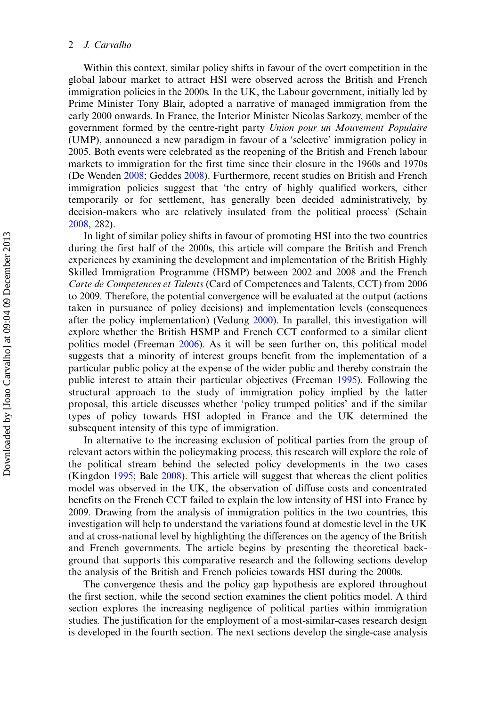# 2 J. Carvalho

Within this context, similar policy shifts in favour of the overt competition in the global labour market to attract HSI were observed across the British and French immigration policies in the 2000s. In the UK, the Labour government, initially led by Prime Minister Tony Blair, adopted a narrative of managed immigration from the early 2000 onwards. In France, the Interior Minister Nicolas Sarkozy, member of the government formed by the centre-right party Union pour un Mouvement Populaire (UMP), announced a new paradigm in favour of a 'selective' immigration policy in 2005. Both events were celebrated as the reopening of the British and French labour markets to immigration for the first time since their closure in the 1960s and 1970s (De Wenden [2008](#page-13-0); Geddes [2008](#page-14-0)). Furthermore, recent studies on British and French immigration policies suggest that 'the entry of highly qualified workers, either temporarily or for settlement, has generally been decided administratively, by decision-makers who are relatively insulated from the political process' (Schain [2008,](#page-15-0) 282).

In light of similar policy shifts in favour of promoting HSI into the two countries during the first half of the 2000s, this article will compare the British and French experiences by examining the development and implementation of the British Highly Skilled Immigration Programme (HSMP) between 2002 and 2008 and the French Carte de Competences et Talents (Card of Competences and Talents, CCT) from 2006 to 2009. Therefore, the potential convergence will be evaluated at the output (actions taken in pursuance of policy decisions) and implementation levels (consequences after the policy implementation) (Vedung [2000\)](#page-15-0). In parallel, this investigation will explore whether the British HSMP and French CCT conformed to a similar client politics model (Freeman [2006](#page-14-0)). As it will be seen further on, this political model suggests that a minority of interest groups benefit from the implementation of a particular public policy at the expense of the wider public and thereby constrain the public interest to attain their particular objectives (Freeman [1995](#page-13-0)). Following the structural approach to the study of immigration policy implied by the latter proposal, this article discusses whether 'policy trumped politics' and if the similar types of policy towards HSI adopted in France and the UK determined the subsequent intensity of this type of immigration.

In alternative to the increasing exclusion of political parties from the group of relevant actors within the policymaking process, this research will explore the role of the political stream behind the selected policy developments in the two cases (Kingdon [1995;](#page-14-0) Bale [2008\)](#page-13-0). This article will suggest that whereas the client politics model was observed in the UK, the observation of diffuse costs and concentrated benefits on the French CCT failed to explain the low intensity of HSI into France by 2009. Drawing from the analysis of immigration politics in the two countries, this investigation will help to understand the variations found at domestic level in the UK and at cross-national level by highlighting the differences on the agency of the British and French governments. The article begins by presenting the theoretical background that supports this comparative research and the following sections develop the analysis of the British and French policies towards HSI during the 2000s.

The convergence thesis and the policy gap hypothesis are explored throughout the first section, while the second section examines the client politics model. A third section explores the increasing negligence of political parties within immigration studies. The justification for the employment of a most-similar-cases research design is developed in the fourth section. The next sections develop the single-case analysis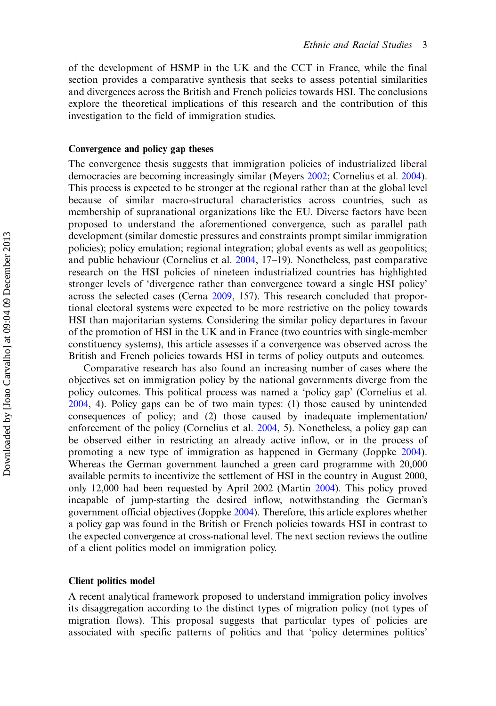of the development of HSMP in the UK and the CCT in France, while the final section provides a comparative synthesis that seeks to assess potential similarities and divergences across the British and French policies towards HSI. The conclusions explore the theoretical implications of this research and the contribution of this investigation to the field of immigration studies.

## Convergence and policy gap theses

The convergence thesis suggests that immigration policies of industrialized liberal democracies are becoming increasingly similar (Meyers [2002;](#page-14-0) Cornelius et al. [2004](#page-13-0)). This process is expected to be stronger at the regional rather than at the global level because of similar macro-structural characteristics across countries, such as membership of supranational organizations like the EU. Diverse factors have been proposed to understand the aforementioned convergence, such as parallel path development (similar domestic pressures and constraints prompt similar immigration policies); policy emulation; regional integration; global events as well as geopolitics; and public behaviour (Cornelius et al. [2004](#page-13-0), 17-19). Nonetheless, past comparative research on the HSI policies of nineteen industrialized countries has highlighted stronger levels of 'divergence rather than convergence toward a single HSI policy' across the selected cases (Cerna [2009,](#page-13-0) 157). This research concluded that proportional electoral systems were expected to be more restrictive on the policy towards HSI than majoritarian systems. Considering the similar policy departures in favour of the promotion of HSI in the UK and in France (two countries with single-member constituency systems), this article assesses if a convergence was observed across the British and French policies towards HSI in terms of policy outputs and outcomes.

Comparative research has also found an increasing number of cases where the objectives set on immigration policy by the national governments diverge from the policy outcomes. This political process was named a 'policy gap' (Cornelius et al. [2004,](#page-13-0) 4). Policy gaps can be of two main types: (1) those caused by unintended consequences of policy; and (2) those caused by inadequate implementation/ enforcement of the policy (Cornelius et al. [2004,](#page-13-0) 5). Nonetheless, a policy gap can be observed either in restricting an already active inflow, or in the process of promoting a new type of immigration as happened in Germany (Joppke [2004](#page-14-0)). Whereas the German government launched a green card programme with 20,000 available permits to incentivize the settlement of HSI in the country in August 2000, only 12,000 had been requested by April 2002 (Martin [2004](#page-14-0)). This policy proved incapable of jump-starting the desired inflow, notwithstanding the German's government official objectives (Joppke [2004\)](#page-14-0). Therefore, this article explores whether a policy gap was found in the British or French policies towards HSI in contrast to the expected convergence at cross-national level. The next section reviews the outline of a client politics model on immigration policy.

# Client politics model

A recent analytical framework proposed to understand immigration policy involves its disaggregation according to the distinct types of migration policy (not types of migration flows). This proposal suggests that particular types of policies are associated with specific patterns of politics and that 'policy determines politics'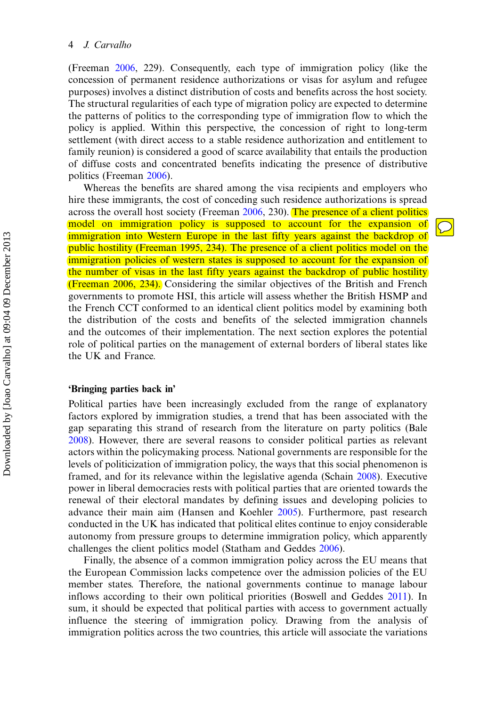# 4 J. Carvalho

(Freeman [2006](#page-14-0), 229). Consequently, each type of immigration policy (like the concession of permanent residence authorizations or visas for asylum and refugee purposes) involves a distinct distribution of costs and benefits across the host society. The structural regularities of each type of migration policy are expected to determine the patterns of politics to the corresponding type of immigration flow to which the policy is applied. Within this perspective, the concession of right to long-term settlement (with direct access to a stable residence authorization and entitlement to family reunion) is considered a good of scarce availability that entails the production of diffuse costs and concentrated benefits indicating the presence of distributive politics (Freeman [2006\)](#page-14-0).

Whereas the benefits are shared among the visa recipients and employers who hire these immigrants, the cost of conceding such residence authorizations is spread across the overall host society (Freeman [2006](#page-14-0), 230). The presence of a client politics model on immigration policy is supposed to account for the expansion of immigration into Western Europe in the last fifty years against the backdrop of public hostility (Freeman [1995](#page-13-0), 234). The presence of a client politics model on the immigration policies of western states is supposed to account for the expansion of the number of visas in the last fifty years against the backdrop of public hostility (Freeman [2006,](#page-14-0) 234). Considering the similar objectives of the British and French governments to promote HSI, this article will assess whether the British HSMP and the French CCT conformed to an identical client politics model by examining both the distribution of the costs and benefits of the selected immigration channels and the outcomes of their implementation. The next section explores the potential role of political parties on the management of external borders of liberal states like the UK and France.

# 'Bringing parties back in'

Political parties have been increasingly excluded from the range of explanatory factors explored by immigration studies, a trend that has been associated with the gap separating this strand of research from the literature on party politics (Bale [2008\)](#page-13-0). However, there are several reasons to consider political parties as relevant actors within the policymaking process. National governments are responsible for the levels of politicization of immigration policy, the ways that this social phenomenon is framed, and for its relevance within the legislative agenda (Schain [2008\)](#page-15-0). Executive power in liberal democracies rests with political parties that are oriented towards the renewal of their electoral mandates by defining issues and developing policies to advance their main aim (Hansen and Koehler [2005](#page-14-0)). Furthermore, past research conducted in the UK has indicated that political elites continue to enjoy considerable autonomy from pressure groups to determine immigration policy, which apparently challenges the client politics model (Statham and Geddes [2006](#page-15-0)).

Finally, the absence of a common immigration policy across the EU means that the European Commission lacks competence over the admission policies of the EU member states. Therefore, the national governments continue to manage labour inflows according to their own political priorities (Boswell and Geddes [2011\)](#page-13-0). In sum, it should be expected that political parties with access to government actually influence the steering of immigration policy. Drawing from the analysis of immigration politics across the two countries, this article will associate the variations

 $\bigcirc$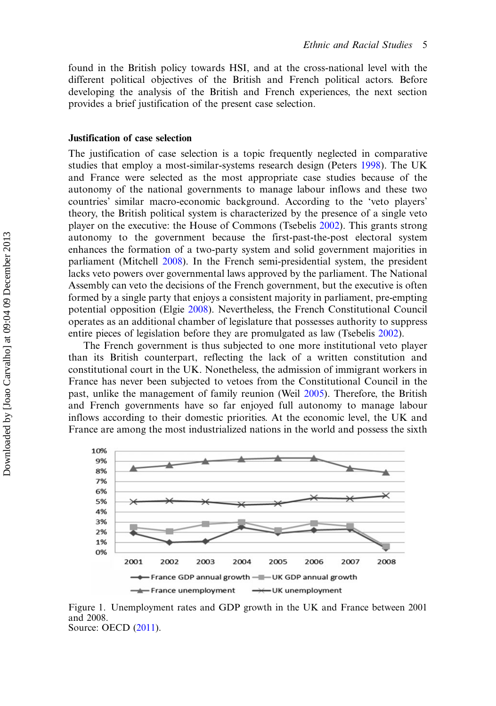<span id="page-5-0"></span>found in the British policy towards HSI, and at the cross-national level with the different political objectives of the British and French political actors. Before developing the analysis of the British and French experiences, the next section provides a brief justification of the present case selection.

# Justification of case selection

The justification of case selection is a topic frequently neglected in comparative studies that employ a most-similar-systems research design (Peters [1998\)](#page-14-0). The UK and France were selected as the most appropriate case studies because of the autonomy of the national governments to manage labour inflows and these two countries' similar macro-economic background. According to the 'veto players' theory, the British political system is characterized by the presence of a single veto player on the executive: the House of Commons (Tsebelis [2002\)](#page-15-0). This grants strong autonomy to the government because the first-past-the-post electoral system enhances the formation of a two-party system and solid government majorities in parliament (Mitchell [2008\)](#page-14-0). In the French semi-presidential system, the president lacks veto powers over governmental laws approved by the parliament. The National Assembly can veto the decisions of the French government, but the executive is often formed by a single party that enjoys a consistent majority in parliament, pre-empting potential opposition (Elgie [2008](#page-13-0)). Nevertheless, the French Constitutional Council operates as an additional chamber of legislature that possesses authority to suppress entire pieces of legislation before they are promulgated as law (Tsebelis [2002](#page-15-0)).

The French government is thus subjected to one more institutional veto player than its British counterpart, reflecting the lack of a written constitution and constitutional court in the UK. Nonetheless, the admission of immigrant workers in France has never been subjected to vetoes from the Constitutional Council in the past, unlike the management of family reunion (Weil [2005](#page-15-0)). Therefore, the British and French governments have so far enjoyed full autonomy to manage labour inflows according to their domestic priorities. At the economic level, the UK and France are among the most industrialized nations in the world and possess the sixth



Figure 1. Unemployment rates and GDP growth in the UK and France between 2001 and 2008. Source: OECD ([2011\)](#page-14-0).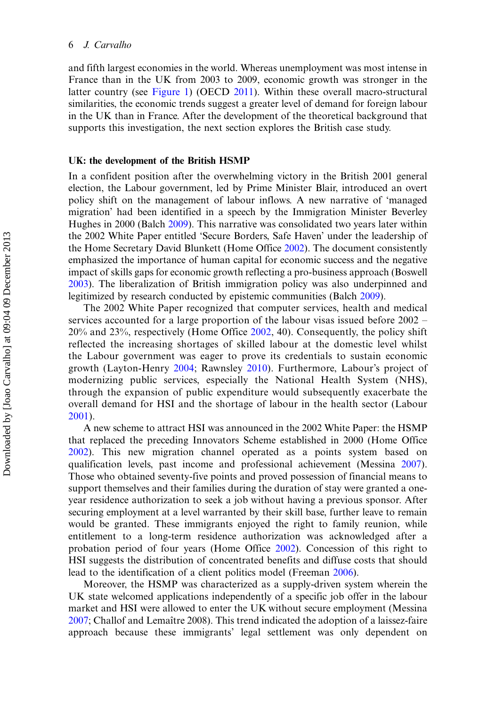and fifth largest economies in the world. Whereas unemployment was most intense in France than in the UK from 2003 to 2009, economic growth was stronger in the latter country (see [Figure 1](#page-5-0)) (OECD [2011\)](#page-14-0). Within these overall macro-structural similarities, the economic trends suggest a greater level of demand for foreign labour in the UK than in France. After the development of the theoretical background that supports this investigation, the next section explores the British case study.

# UK: the development of the British HSMP

In a confident position after the overwhelming victory in the British 2001 general election, the Labour government, led by Prime Minister Blair, introduced an overt policy shift on the management of labour inflows. A new narrative of 'managed migration' had been identified in a speech by the Immigration Minister Beverley Hughes in 2000 (Balch [2009](#page-13-0)). This narrative was consolidated two years later within the 2002 White Paper entitled 'Secure Borders, Safe Haven' under the leadership of the Home Secretary David Blunkett (Home Office [2002\)](#page-14-0). The document consistently emphasized the importance of human capital for economic success and the negative impact of skills gaps for economic growth reflecting a pro-business approach (Boswell [2003\)](#page-13-0). The liberalization of British immigration policy was also underpinned and legitimized by research conducted by epistemic communities (Balch [2009](#page-13-0)).

The 2002 White Paper recognized that computer services, health and medical services accounted for a large proportion of the labour visas issued before 2002 - 20% and 23%, respectively (Home Office [2002,](#page-14-0) 40). Consequently, the policy shift reflected the increasing shortages of skilled labour at the domestic level whilst the Labour government was eager to prove its credentials to sustain economic growth (Layton-Henry [2004](#page-14-0); Rawnsley [2010](#page-14-0)). Furthermore, Labour's project of modernizing public services, especially the National Health System (NHS), through the expansion of public expenditure would subsequently exacerbate the overall demand for HSI and the shortage of labour in the health sector (Labour [2001](#page-14-0)).

A new scheme to attract HSI was announced in the 2002 White Paper: the HSMP that replaced the preceding Innovators Scheme established in 2000 (Home Office [2002\)](#page-14-0). This new migration channel operated as a points system based on qualification levels, past income and professional achievement (Messina [2007](#page-14-0)). Those who obtained seventy-five points and proved possession of financial means to support themselves and their families during the duration of stay were granted a oneyear residence authorization to seek a job without having a previous sponsor. After securing employment at a level warranted by their skill base, further leave to remain would be granted. These immigrants enjoyed the right to family reunion, while entitlement to a long-term residence authorization was acknowledged after a probation period of four years (Home Office [2002\)](#page-14-0). Concession of this right to HSI suggests the distribution of concentrated benefits and diffuse costs that should lead to the identification of a client politics model (Freeman [2006](#page-14-0)).

Moreover, the HSMP was characterized as a supply-driven system wherein the UK state welcomed applications independently of a specific job offer in the labour market and HSI were allowed to enter the UK without secure employment (Messina [2007;](#page-14-0) Challof and Lemaître 2008). This trend indicated the adoption of a laissez-faire approach because these immigrants' legal settlement was only dependent on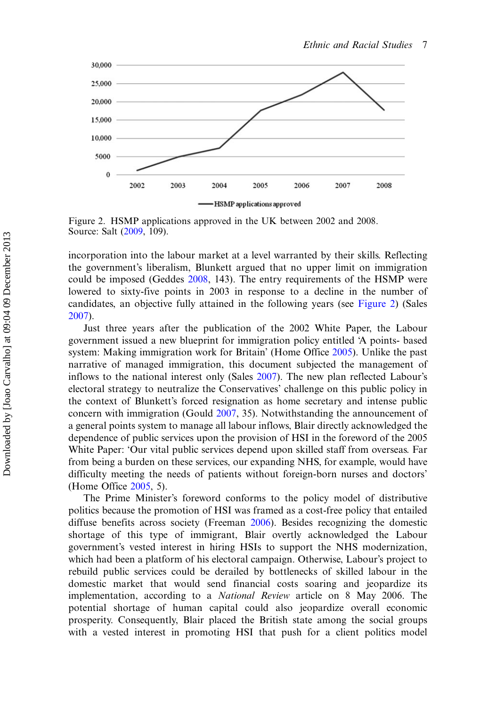

Figure 2. HSMP applications approved in the UK between 2002 and 2008. Source: Salt [\(2009](#page-14-0), 109).

incorporation into the labour market at a level warranted by their skills. Reflecting the government's liberalism, Blunkett argued that no upper limit on immigration could be imposed (Geddes [2008,](#page-14-0) 143). The entry requirements of the HSMP were lowered to sixty-five points in 2003 in response to a decline in the number of candidates, an objective fully attained in the following years (see Figure 2) (Sales [2007\)](#page-14-0).

Just three years after the publication of the 2002 White Paper, the Labour government issued a new blueprint for immigration policy entitled 'A points- based system: Making immigration work for Britain' (Home Office [2005\)](#page-14-0). Unlike the past narrative of managed immigration, this document subjected the management of inflows to the national interest only (Sales [2007](#page-14-0)). The new plan reflected Labour's electoral strategy to neutralize the Conservatives' challenge on this public policy in the context of Blunkett's forced resignation as home secretary and intense public concern with immigration (Gould [2007](#page-14-0), 35). Notwithstanding the announcement of a general points system to manage all labour inflows, Blair directly acknowledged the dependence of public services upon the provision of HSI in the foreword of the 2005 White Paper: 'Our vital public services depend upon skilled staff from overseas. Far from being a burden on these services, our expanding NHS, for example, would have difficulty meeting the needs of patients without foreign-born nurses and doctors' (Home Office [2005,](#page-14-0) 5).

The Prime Minister's foreword conforms to the policy model of distributive politics because the promotion of HSI was framed as a cost-free policy that entailed diffuse benefits across society (Freeman [2006](#page-14-0)). Besides recognizing the domestic shortage of this type of immigrant, Blair overtly acknowledged the Labour government's vested interest in hiring HSIs to support the NHS modernization, which had been a platform of his electoral campaign. Otherwise, Labour's project to rebuild public services could be derailed by bottlenecks of skilled labour in the domestic market that would send financial costs soaring and jeopardize its implementation, according to a National Review article on 8 May 2006. The potential shortage of human capital could also jeopardize overall economic prosperity. Consequently, Blair placed the British state among the social groups with a vested interest in promoting HSI that push for a client politics model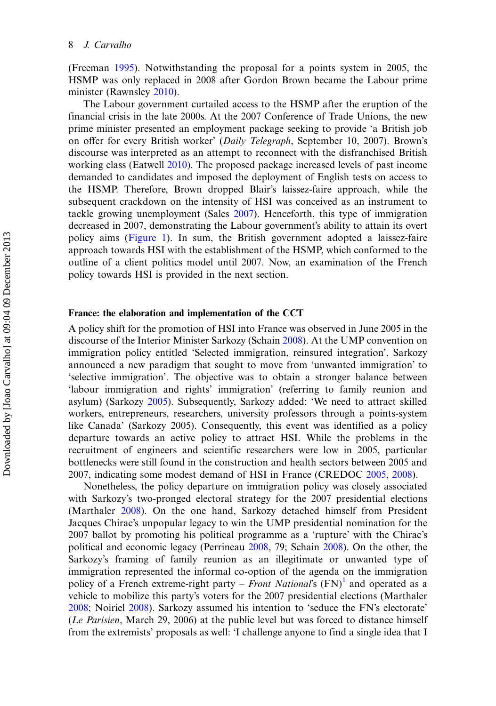(Freeman [1995](#page-13-0)). Notwithstanding the proposal for a points system in 2005, the HSMP was only replaced in 2008 after Gordon Brown became the Labour prime minister (Rawnsley [2010\)](#page-14-0).

The Labour government curtailed access to the HSMP after the eruption of the financial crisis in the late 2000s. At the 2007 Conference of Trade Unions, the new prime minister presented an employment package seeking to provide 'a British job on offer for every British worker' (Daily Telegraph, September 10, 2007). Brown's discourse was interpreted as an attempt to reconnect with the disfranchised British working class (Eatwell [2010](#page-13-0)). The proposed package increased levels of past income demanded to candidates and imposed the deployment of English tests on access to the HSMP. Therefore, Brown dropped Blair's laissez-faire approach, while the subsequent crackdown on the intensity of HSI was conceived as an instrument to tackle growing unemployment (Sales [2007](#page-14-0)). Henceforth, this type of immigration decreased in 2007, demonstrating the Labour government's ability to attain its overt policy aims ([Figure 1\)](#page-5-0). In sum, the British government adopted a laissez-faire approach towards HSI with the establishment of the HSMP, which conformed to the outline of a client politics model until 2007. Now, an examination of the French policy towards HSI is provided in the next section.

# France: the elaboration and implementation of the CCT

A policy shift for the promotion of HSI into France was observed in June 2005 in the discourse of the Interior Minister Sarkozy (Schain [2008](#page-15-0)). At the UMP convention on immigration policy entitled 'Selected immigration, reinsured integration', Sarkozy announced a new paradigm that sought to move from 'unwanted immigration' to 'selective immigration'. The objective was to obtain a stronger balance between 'labour immigration and rights' immigration' (referring to family reunion and asylum) (Sarkozy [2005\)](#page-14-0). Subsequently, Sarkozy added: 'We need to attract skilled workers, entrepreneurs, researchers, university professors through a points-system like Canada' (Sarkozy 2005). Consequently, this event was identified as a policy departure towards an active policy to attract HSI. While the problems in the recruitment of engineers and scientific researchers were low in 2005, particular bottlenecks were still found in the construction and health sectors between 2005 and 2007, indicating some modest demand of HSI in France (CREDOC [2005](#page-13-0), [2008](#page-13-0)).

Nonetheless, the policy departure on immigration policy was closely associated with Sarkozy's two-pronged electoral strategy for the 2007 presidential elections (Marthaler [2008](#page-14-0)). On the one hand, Sarkozy detached himself from President Jacques Chirac's unpopular legacy to win the UMP presidential nomination for the 2007 ballot by promoting his political programme as a 'rupture' with the Chirac's political and economic legacy (Perrineau [2008](#page-14-0), 79; Schain [2008](#page-15-0)). On the other, the Sarkozy's framing of family reunion as an illegitimate or unwanted type of immigration represented the informal co-option of the agenda on the immigration policy of a French extreme-right party – Front National's  $(FN)^{1}$  $(FN)^{1}$  $(FN)^{1}$  and operated as a vehicle to mobilize this party's voters for the 2007 presidential elections (Marthaler [2008;](#page-14-0) Noiriel [2008](#page-14-0)). Sarkozy assumed his intention to 'seduce the FN's electorate' (Le Parisien, March 29, 2006) at the public level but was forced to distance himself from the extremists' proposals as well: 'I challenge anyone to find a single idea that I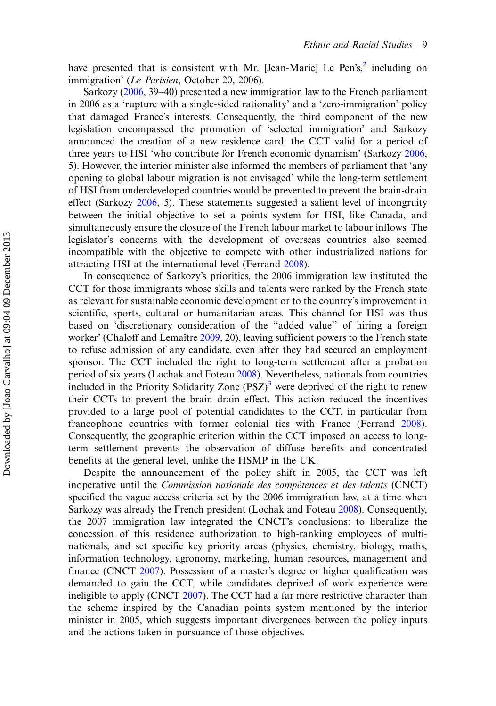have presented that is consistent with Mr. [Jean-Marie] Le Pen's, $^2$  $^2$  including on immigration' (Le Parisien, October 20, 2006).

Sarkozy ([2006,](#page-15-0) 39-40) presented a new immigration law to the French parliament in 2006 as a 'rupture with a single-sided rationality' and a 'zero-immigration' policy that damaged France's interests. Consequently, the third component of the new legislation encompassed the promotion of 'selected immigration' and Sarkozy announced the creation of a new residence card: the CCT valid for a period of three years to HSI 'who contribute for French economic dynamism' (Sarkozy [2006](#page-15-0), 5). However, the interior minister also informed the members of parliament that 'any opening to global labour migration is not envisaged' while the long-term settlement of HSI from underdeveloped countries would be prevented to prevent the brain-drain effect (Sarkozy [2006](#page-15-0), 5). These statements suggested a salient level of incongruity between the initial objective to set a points system for HSI, like Canada, and simultaneously ensure the closure of the French labour market to labour inflows. The legislator's concerns with the development of overseas countries also seemed incompatible with the objective to compete with other industrialized nations for attracting HSI at the international level (Ferrand [2008](#page-13-0)).

In consequence of Sarkozy's priorities, the 2006 immigration law instituted the CCT for those immigrants whose skills and talents were ranked by the French state as relevant for sustainable economic development or to the country's improvement in scientific, sports, cultural or humanitarian areas. This channel for HSI was thus based on 'discretionary consideration of the ''added value'' of hiring a foreign worker' (Chaloff and Lemaître [2009,](#page-13-0) 20), leaving sufficient powers to the French state to refuse admission of any candidate, even after they had secured an employment sponsor. The CCT included the right to long-term settlement after a probation period of six years (Lochak and Foteau [2008\)](#page-14-0). Nevertheless, nationals from countries included in the Priority Solidarity Zone  $(PSZ)^3$  were deprived of the right to renew their CCTs to prevent the brain drain effect. This action reduced the incentives provided to a large pool of potential candidates to the CCT, in particular from francophone countries with former colonial ties with France (Ferrand [2008](#page-13-0)). Consequently, the geographic criterion within the CCT imposed on access to longterm settlement prevents the observation of diffuse benefits and concentrated benefits at the general level, unlike the HSMP in the UK.

Despite the announcement of the policy shift in 2005, the CCT was left inoperative until the *Commission nationale des compétences et des talents* (CNCT) specified the vague access criteria set by the 2006 immigration law, at a time when Sarkozy was already the French president (Lochak and Foteau [2008\)](#page-14-0). Consequently, the 2007 immigration law integrated the CNCT's conclusions: to liberalize the concession of this residence authorization to high-ranking employees of multinationals, and set specific key priority areas (physics, chemistry, biology, maths, information technology, agronomy, marketing, human resources, management and finance (CNCT [2007\)](#page-13-0). Possession of a master's degree or higher qualification was demanded to gain the CCT, while candidates deprived of work experience were ineligible to apply (CNCT [2007\)](#page-13-0). The CCT had a far more restrictive character than the scheme inspired by the Canadian points system mentioned by the interior minister in 2005, which suggests important divergences between the policy inputs and the actions taken in pursuance of those objectives.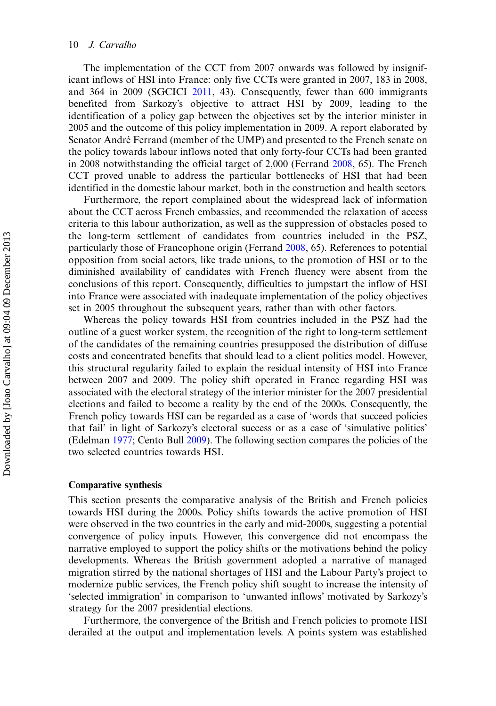The implementation of the CCT from 2007 onwards was followed by insignificant inflows of HSI into France: only five CCTs were granted in 2007, 183 in 2008, and 364 in 2009 (SGCICI [2011](#page-15-0), 43). Consequently, fewer than 600 immigrants benefited from Sarkozy's objective to attract HSI by 2009, leading to the identification of a policy gap between the objectives set by the interior minister in 2005 and the outcome of this policy implementation in 2009. A report elaborated by Senator André Ferrand (member of the UMP) and presented to the French senate on the policy towards labour inflows noted that only forty-four CCTs had been granted in 2008 notwithstanding the official target of 2,000 (Ferrand [2008,](#page-13-0) 65). The French CCT proved unable to address the particular bottlenecks of HSI that had been identified in the domestic labour market, both in the construction and health sectors.

Furthermore, the report complained about the widespread lack of information about the CCT across French embassies, and recommended the relaxation of access criteria to this labour authorization, as well as the suppression of obstacles posed to the long-term settlement of candidates from countries included in the PSZ, particularly those of Francophone origin (Ferrand [2008,](#page-13-0) 65). References to potential opposition from social actors, like trade unions, to the promotion of HSI or to the diminished availability of candidates with French fluency were absent from the conclusions of this report. Consequently, difficulties to jumpstart the inflow of HSI into France were associated with inadequate implementation of the policy objectives set in 2005 throughout the subsequent years, rather than with other factors.

Whereas the policy towards HSI from countries included in the PSZ had the outline of a guest worker system, the recognition of the right to long-term settlement of the candidates of the remaining countries presupposed the distribution of diffuse costs and concentrated benefits that should lead to a client politics model. However, this structural regularity failed to explain the residual intensity of HSI into France between 2007 and 2009. The policy shift operated in France regarding HSI was associated with the electoral strategy of the interior minister for the 2007 presidential elections and failed to become a reality by the end of the 2000s. Consequently, the French policy towards HSI can be regarded as a case of 'words that succeed policies that fail' in light of Sarkozy's electoral success or as a case of 'simulative politics' (Edelman [1977;](#page-13-0) Cento Bull [2009\)](#page-13-0). The following section compares the policies of the two selected countries towards HSI.

# Comparative synthesis

This section presents the comparative analysis of the British and French policies towards HSI during the 2000s. Policy shifts towards the active promotion of HSI were observed in the two countries in the early and mid-2000s, suggesting a potential convergence of policy inputs. However, this convergence did not encompass the narrative employed to support the policy shifts or the motivations behind the policy developments. Whereas the British government adopted a narrative of managed migration stirred by the national shortages of HSI and the Labour Party's project to modernize public services, the French policy shift sought to increase the intensity of 'selected immigration' in comparison to 'unwanted inflows' motivated by Sarkozy's strategy for the 2007 presidential elections.

Furthermore, the convergence of the British and French policies to promote HSI derailed at the output and implementation levels. A points system was established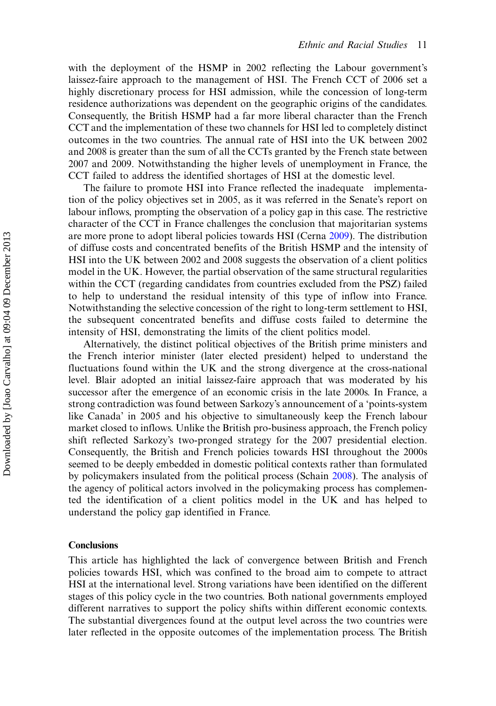with the deployment of the HSMP in 2002 reflecting the Labour government's laissez-faire approach to the management of HSI. The French CCT of 2006 set a highly discretionary process for HSI admission, while the concession of long-term residence authorizations was dependent on the geographic origins of the candidates. Consequently, the British HSMP had a far more liberal character than the French CCT and the implementation of these two channels for HSI led to completely distinct outcomes in the two countries. The annual rate of HSI into the UK between 2002 and 2008 is greater than the sum of all the CCTs granted by the French state between 2007 and 2009. Notwithstanding the higher levels of unemployment in France, the CCT failed to address the identified shortages of HSI at the domestic level.

The failure to promote HSI into France reflected the inadequate implementation of the policy objectives set in 2005, as it was referred in the Senate's report on labour inflows, prompting the observation of a policy gap in this case. The restrictive character of the CCT in France challenges the conclusion that majoritarian systems are more prone to adopt liberal policies towards HSI (Cerna [2009](#page-13-0)). The distribution of diffuse costs and concentrated benefits of the British HSMP and the intensity of HSI into the UK between 2002 and 2008 suggests the observation of a client politics model in the UK. However, the partial observation of the same structural regularities within the CCT (regarding candidates from countries excluded from the PSZ) failed to help to understand the residual intensity of this type of inflow into France. Notwithstanding the selective concession of the right to long-term settlement to HSI, the subsequent concentrated benefits and diffuse costs failed to determine the intensity of HSI, demonstrating the limits of the client politics model.

Alternatively, the distinct political objectives of the British prime ministers and the French interior minister (later elected president) helped to understand the fluctuations found within the UK and the strong divergence at the cross-national level. Blair adopted an initial laissez-faire approach that was moderated by his successor after the emergence of an economic crisis in the late 2000s. In France, a strong contradiction was found between Sarkozy's announcement of a 'points-system like Canada' in 2005 and his objective to simultaneously keep the French labour market closed to inflows. Unlike the British pro-business approach, the French policy shift reflected Sarkozy's two-pronged strategy for the 2007 presidential election. Consequently, the British and French policies towards HSI throughout the 2000s seemed to be deeply embedded in domestic political contexts rather than formulated by policymakers insulated from the political process (Schain [2008](#page-15-0)). The analysis of the agency of political actors involved in the policymaking process has complemented the identification of a client politics model in the UK and has helped to understand the policy gap identified in France.

### Conclusions

This article has highlighted the lack of convergence between British and French policies towards HSI, which was confined to the broad aim to compete to attract HSI at the international level. Strong variations have been identified on the different stages of this policy cycle in the two countries. Both national governments employed different narratives to support the policy shifts within different economic contexts. The substantial divergences found at the output level across the two countries were later reflected in the opposite outcomes of the implementation process. The British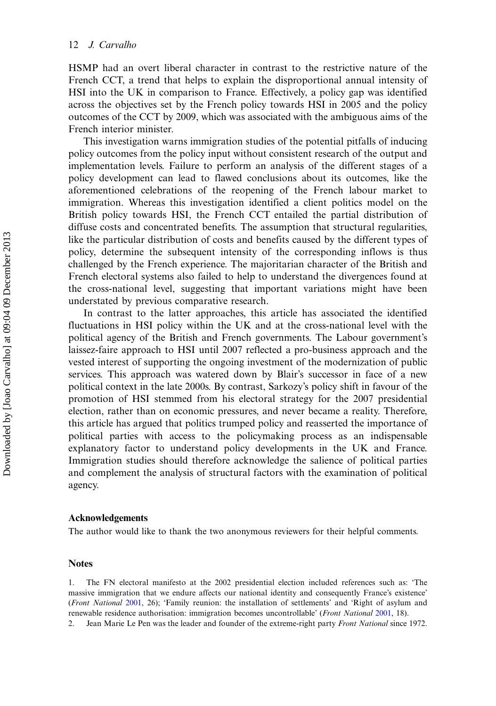<span id="page-12-0"></span>HSMP had an overt liberal character in contrast to the restrictive nature of the French CCT, a trend that helps to explain the disproportional annual intensity of HSI into the UK in comparison to France. Effectively, a policy gap was identified across the objectives set by the French policy towards HSI in 2005 and the policy outcomes of the CCT by 2009, which was associated with the ambiguous aims of the French interior minister.

This investigation warns immigration studies of the potential pitfalls of inducing policy outcomes from the policy input without consistent research of the output and implementation levels. Failure to perform an analysis of the different stages of a policy development can lead to flawed conclusions about its outcomes, like the aforementioned celebrations of the reopening of the French labour market to immigration. Whereas this investigation identified a client politics model on the British policy towards HSI, the French CCT entailed the partial distribution of diffuse costs and concentrated benefits. The assumption that structural regularities, like the particular distribution of costs and benefits caused by the different types of policy, determine the subsequent intensity of the corresponding inflows is thus challenged by the French experience. The majoritarian character of the British and French electoral systems also failed to help to understand the divergences found at the cross-national level, suggesting that important variations might have been understated by previous comparative research.

In contrast to the latter approaches, this article has associated the identified fluctuations in HSI policy within the UK and at the cross-national level with the political agency of the British and French governments. The Labour government's laissez-faire approach to HSI until 2007 reflected a pro-business approach and the vested interest of supporting the ongoing investment of the modernization of public services. This approach was watered down by Blair's successor in face of a new political context in the late 2000s. By contrast, Sarkozy's policy shift in favour of the promotion of HSI stemmed from his electoral strategy for the 2007 presidential election, rather than on economic pressures, and never became a reality. Therefore, this article has argued that politics trumped policy and reasserted the importance of political parties with access to the policymaking process as an indispensable explanatory factor to understand policy developments in the UK and France. Immigration studies should therefore acknowledge the salience of political parties and complement the analysis of structural factors with the examination of political agency.

#### Acknowledgements

The author would like to thank the two anonymous reviewers for their helpful comments.

# **Notes**

1. The FN electoral manifesto at the 2002 presidential election included references such as: 'The massive immigration that we endure affects our national identity and consequently France's existence' (Front National [2001,](#page-14-0) 26); 'Family reunion: the installation of settlements' and 'Right of asylum and renewable residence authorisation: immigration becomes uncontrollable' (Front National [2001](#page-14-0), 18).

Jean Marie Le Pen was the leader and founder of the extreme-right party Front National since 1972.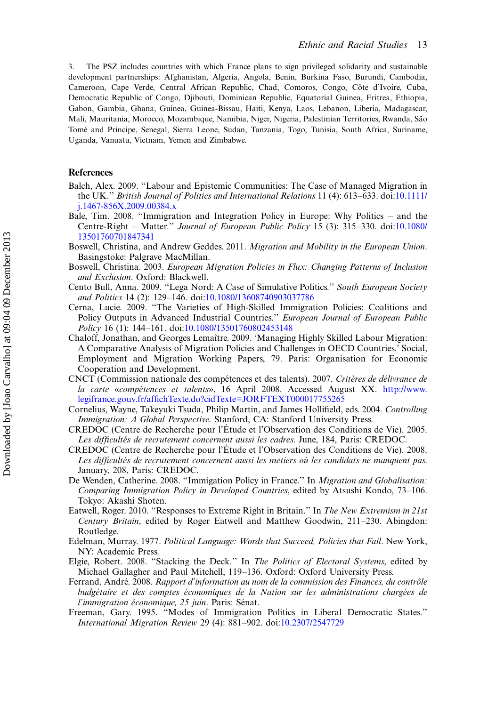<span id="page-13-0"></span>3. The PSZ includes countries with which France plans to sign privileged solidarity and sustainable development partnerships: Afghanistan, Algeria, Angola, Benin, Burkina Faso, Burundi, Cambodia, Cameroon, Cape Verde, Central African Republic, Chad, Comoros, Congo, Côte d'Ivoire, Cuba, Democratic Republic of Congo, Djibouti, Dominican Republic, Equatorial Guinea, Eritrea, Ethiopia, Gabon, Gambia, Ghana, Guinea, Guinea-Bissau, Haiti, Kenya, Laos, Lebanon, Liberia, Madagascar, Mali, Mauritania, Morocco, Mozambique, Namibia, Niger, Nigeria, Palestinian Territories, Rwanda, São Tome´ and Principe, Senegal, Sierra Leone, Sudan, Tanzania, Togo, Tunisia, South Africa, Suriname, Uganda, Vanuatu, Vietnam, Yemen and Zimbabwe.

# **References**

- Balch, Alex. 2009. ''Labour and Epistemic Communities: The Case of Managed Migration in the UK." British Journal of Politics and International Relations 11 (4): 613–633. doi[:10.1111/](http://dx.doi.org/10.1111/j.1467-856X.2009.00384.x) [j.1467-856X.2009.00384.x](http://dx.doi.org/10.1111/j.1467-856X.2009.00384.x)
- Bale, Tim. 2008. "Immigration and Integration Policy in Europe: Why Politics and the Centre-Right – Matter." Journal of European Public Policy 15 (3): 315–330. doi[:10.1080/](http://dx.doi.org/10.1080/13501760701847341) [13501760701847341](http://dx.doi.org/10.1080/13501760701847341)
- Boswell, Christina, and Andrew Geddes. 2011. Migration and Mobility in the European Union. Basingstoke: Palgrave MacMillan.
- Boswell, Christina. 2003. European Migration Policies in Flux: Changing Patterns of Inclusion and Exclusion. Oxford: Blackwell.
- Cento Bull, Anna. 2009. ''Lega Nord: A Case of Simulative Politics.'' South European Society and Politics 14 (2): 129-146. doi[:10.1080/13608740903037786](http://dx.doi.org/10.1080/13608740903037786)
- Cerna, Lucie. 2009. ''The Varieties of High-Skilled Immigration Policies: Coalitions and Policy Outputs in Advanced Industrial Countries." European Journal of European Public Policy 16 (1): 144-161. doi[:10.1080/13501760802453148](http://dx.doi.org/10.1080/13501760802453148)
- Chaloff, Jonathan, and Georges Lemaître. 2009. 'Managing Highly Skilled Labour Migration: A Comparative Analysis of Migration Policies and Challenges in OECD Countries.' Social, Employment and Migration Working Papers, 79. Paris: Organisation for Economic Cooperation and Development.
- CNCT (Commission nationale des compétences et des talents). 2007. Critères de délivrance de la carte «compétences et talents», 16 April 2008. Accessed August XX. [http://www.](http://www.legifrance.gouv.fr/affichTexte.do?cidTexte=JORFTEXT000017755265) [legifrance.gouv.fr/affichTexte.do?cidTexte=JORFTEXT000017755265](http://www.legifrance.gouv.fr/affichTexte.do?cidTexte=JORFTEXT000017755265)
- Cornelius, Wayne, Takeyuki Tsuda, Philip Martin, and James Hollifield, eds. 2004. Controlling Immigration: A Global Perspective. Stanford, CA: Stanford University Press.
- CREDOC (Centre de Recherche pour l'Etude et l'Observation des Conditions de Vie). 2005. Les difficultés de recrutement concernent aussi les cadres. June, 184, Paris: CREDOC.
- CREDOC (Centre de Recherche pour l'Étude et l'Observation des Conditions de Vie). 2008. Les difficultés de recrutement concernent aussi les metiers où les candidats ne manquent pas. January, 208, Paris: CREDOC.
- De Wenden, Catherine. 2008. "Immigation Policy in France." In *Migration and Globalisation*: Comparing Immigration Policy in Developed Countries, edited by Atsushi Kondo, 73-106. Tokyo: Akashi Shoten.
- Eatwell, Roger. 2010. ''Responses to Extreme Right in Britain.'' In The New Extremism in 21st Century Britain, edited by Roger Eatwell and Matthew Goodwin, 211-230. Abingdon: Routledge.
- Edelman, Murray. 1977. Political Language: Words that Succeed, Policies that Fail. New York, NY: Academic Press.
- Elgie, Robert. 2008. ''Stacking the Deck.'' In The Politics of Electoral Systems, edited by Michael Gallagher and Paul Mitchell, 119-136. Oxford: Oxford University Press.
- Ferrand, André. 2008. Rapport d'information au nom de la commission des Finances, du contrôle budgétaire et des comptes économiques de la Nation sur les administrations chargées de l'immigration économique, 25 juin. Paris: Sénat.
- Freeman, Gary. 1995. ''Modes of Immigration Politics in Liberal Democratic States.'' International Migration Review 29 (4): 881-902. doi[:10.2307/2547729](http://dx.doi.org/10.2307/2547729)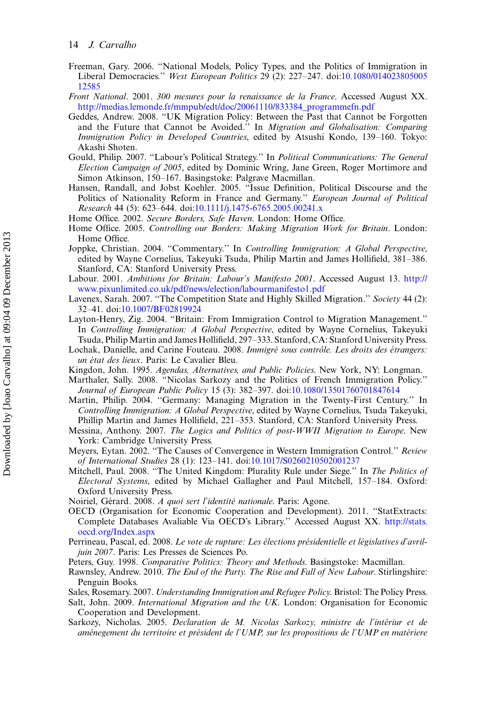- <span id="page-14-0"></span>Freeman, Gary. 2006. ''National Models, Policy Types, and the Politics of Immigration in Liberal Democracies." West European Politics 29 (2): 227–247. doi:[10.1080/014023805005](http://dx.doi.org/12585) [12585](http://dx.doi.org/12585)
- Front National. 2001. 300 mesures pour la renaissance de la France. Accessed August XX. [http://medias.lemonde.fr/mmpub/edt/doc/20061110/833384\\_programmefn.pdf](http://medias.lemonde.fr/mmpub/edt/doc/20061110/833384_programmefn.pdf)
- Geddes, Andrew. 2008. ''UK Migration Policy: Between the Past that Cannot be Forgotten and the Future that Cannot be Avoided." In Migration and Globalisation: Comparing Immigration Policy in Developed Countries, edited by Atsushi Kondo, 139-160. Tokyo: Akashi Shoten.
- Gould, Philip. 2007. ''Labour's Political Strategy.'' In Political Communications: The General Election Campaign of 2005, edited by Dominic Wring, Jane Green, Roger Mortimore and Simon Atkinson, 150-167. Basingstoke: Palgrave Macmillan.
- Hansen, Randall, and Jobst Koehler. 2005. ''Issue Definition, Political Discourse and the Politics of Nationality Reform in France and Germany." European Journal of Political Research 44 (5): 623-644. doi:[10.1111/j.1475-6765.2005.00241.x](http://dx.doi.org/10.1111/j.1475-6765.2005.00241.x)
- Home Office. 2002. Secure Borders, Safe Haven. London: Home Office.
- Home Office. 2005. Controlling our Borders: Making Migration Work for Britain. London: Home Office.
- Joppke, Christian. 2004. ''Commentary.'' In Controlling Immigration: A Global Perspective, edited by Wayne Cornelius, Takeyuki Tsuda, Philip Martin and James Hollifield, 381-386. Stanford, CA: Stanford University Press.
- Labour. 2001. Ambitions for Britain: Labour's Manifesto 2001. Accessed August 13. [http://](http://www.pixunlimited.co.uk/pdf/news/election/labourmanifesto1.pdf) [www.pixunlimited.co.uk/pdf/news/election/labourmanifesto1.pdf](http://www.pixunlimited.co.uk/pdf/news/election/labourmanifesto1.pdf)
- Lavenex, Sarah. 2007. "The Competition State and Highly Skilled Migration." Society 44 (2): 32-41. doi:[10.1007/BF02819924](http://dx.doi.org/10.1007/BF02819924)
- Layton-Henry, Zig. 2004. ''Britain: From Immigration Control to Migration Management.'' In Controlling Immigration: A Global Perspective, edited by Wayne Cornelius, Takeyuki Tsuda, Philip Martin and James Hollifield, 297-333. Stanford, CA: Stanford University Press.
- Lochak, Danielle, and Carine Fouteau. 2008. Immigré sous contrôle. Les droits des étrangers: un état des lieux. Paris: Le Cavalier Bleu.
- Kingdon, John. 1995. Agendas, Alternatives, and Public Policies. New York, NY: Longman.
- Marthaler, Sally. 2008. ''Nicolas Sarkozy and the Politics of French Immigration Policy.'' Journal of European Public Policy 15 (3): 382-397. doi:[10.1080/13501760701847614](http://dx.doi.org/10.1080/13501760701847614)
- Martin, Philip. 2004. ''Germany: Managing Migration in the Twenty-First Century.'' In Controlling Immigration: A Global Perspective, edited by Wayne Cornelius, Tsuda Takeyuki, Phillip Martin and James Hollifield, 221-353. Stanford, CA: Stanford University Press.
- Messina, Anthony. 2007. The Logics and Politics of post-WWII Migration to Europe. New York: Cambridge University Press.
- Meyers, Eytan. 2002. ''The Causes of Convergence in Western Immigration Control.'' Review of International Studies 28 (1): 123-141. doi:[10.1017/S0260210502001237](http://dx.doi.org/10.1017/S0260210502001237)
- Mitchell, Paul. 2008. ''The United Kingdom: Plurality Rule under Siege.'' In The Politics of Electoral Systems, edited by Michael Gallagher and Paul Mitchell, 157-184. Oxford: Oxford University Press.
- Noiriel, Gérard. 2008. A quoi sert l'identité nationale. Paris: Agone.
- OECD (Organisation for Economic Cooperation and Development). 2011. ''StatExtracts: Complete Databases Avaliable Via OECD's Library.'' Accessed August XX. [http://stats.](http://stats.oecd.org/Index.aspx) [oecd.org/Index.aspx](http://stats.oecd.org/Index.aspx)
- Perrineau, Pascal, ed. 2008. Le vote de rupture: Les élections présidentielle et législatives d'avriljuin 2007. Paris: Les Presses de Sciences Po.
- Peters, Guy. 1998. Comparative Politics: Theory and Methods. Basingstoke: Macmillan.
- Rawnsley, Andrew. 2010. The End of the Party. The Rise and Fall of New Labour. Stirlingshire: Penguin Books.
- Sales, Rosemary. 2007. Understanding Immigration and Refugee Policy. Bristol: The Policy Press.
- Salt, John. 2009. International Migration and the UK. London: Organisation for Economic Cooperation and Development.
- Sarkozy, Nicholas. 2005. Declaration de M. Nicolas Sarkozy, ministre de l'intériur et de aménegement du territoire et président de l'UMP, sur les propositions de l'UMP en matériere